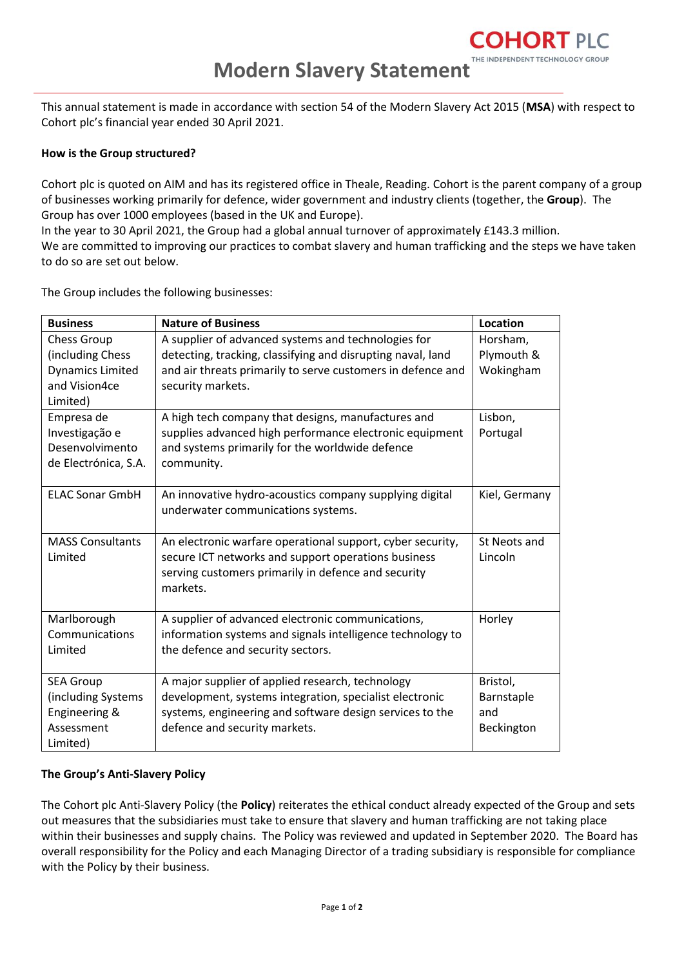OHORT PLC

This annual statement is made in accordance with section 54 of the Modern Slavery Act 2015 (**MSA**) with respect to Cohort plc's financial year ended 30 April 2021.

#### **How is the Group structured?**

Cohort plc is quoted on AIM and has its registered office in Theale, Reading. Cohort is the parent company of a group of businesses working primarily for defence, wider government and industry clients (together, the **Group**). The Group has over 1000 employees (based in the UK and Europe).

In the year to 30 April 2021, the Group had a global annual turnover of approximately £143.3 million. We are committed to improving our practices to combat slavery and human trafficking and the steps we have taken to do so are set out below.

The Group includes the following businesses:

| <b>Business</b>         | <b>Nature of Business</b>                                   | Location      |
|-------------------------|-------------------------------------------------------------|---------------|
| <b>Chess Group</b>      | A supplier of advanced systems and technologies for         | Horsham,      |
| (including Chess        | detecting, tracking, classifying and disrupting naval, land | Plymouth &    |
| <b>Dynamics Limited</b> | and air threats primarily to serve customers in defence and | Wokingham     |
| and Vision4ce           | security markets.                                           |               |
| Limited)                |                                                             |               |
| Empresa de              | A high tech company that designs, manufactures and          | Lisbon,       |
| Investigação e          | supplies advanced high performance electronic equipment     | Portugal      |
| Desenvolvimento         | and systems primarily for the worldwide defence             |               |
| de Electrónica, S.A.    | community.                                                  |               |
|                         |                                                             |               |
| <b>ELAC Sonar GmbH</b>  | An innovative hydro-acoustics company supplying digital     | Kiel, Germany |
|                         | underwater communications systems.                          |               |
|                         |                                                             |               |
| <b>MASS Consultants</b> | An electronic warfare operational support, cyber security,  | St Neots and  |
| Limited                 | secure ICT networks and support operations business         | Lincoln       |
|                         | serving customers primarily in defence and security         |               |
|                         | markets.                                                    |               |
|                         |                                                             |               |
| Marlborough             | A supplier of advanced electronic communications,           | Horley        |
| Communications          | information systems and signals intelligence technology to  |               |
| Limited                 | the defence and security sectors.                           |               |
|                         |                                                             |               |
| <b>SEA Group</b>        | A major supplier of applied research, technology            | Bristol,      |
| (including Systems      | development, systems integration, specialist electronic     | Barnstaple    |
| Engineering &           | systems, engineering and software design services to the    | and           |
| Assessment              | defence and security markets.                               | Beckington    |
| Limited)                |                                                             |               |

#### **The Group's Anti-Slavery Policy**

The Cohort plc Anti-Slavery Policy (the **Policy**) reiterates the ethical conduct already expected of the Group and sets out measures that the subsidiaries must take to ensure that slavery and human trafficking are not taking place within their businesses and supply chains. The Policy was reviewed and updated in September 2020. The Board has overall responsibility for the Policy and each Managing Director of a trading subsidiary is responsible for compliance with the Policy by their business.